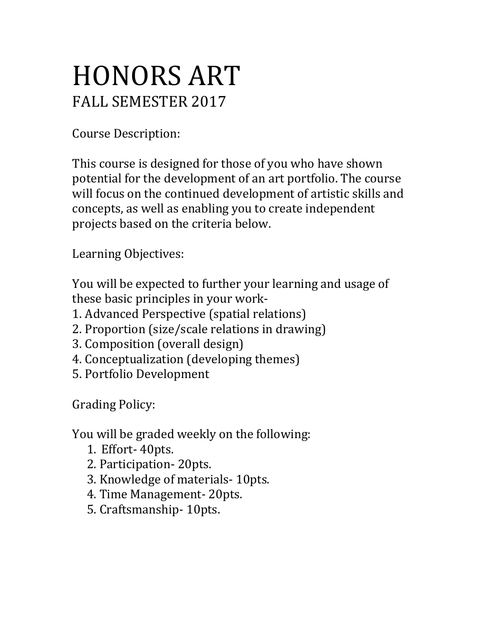## HONORS ART FALL SEMESTER 2017

Course Description:

This course is designed for those of you who have shown potential for the development of an art portfolio. The course will focus on the continued development of artistic skills and concepts, as well as enabling you to create independent projects based on the criteria below.

Learning Objectives:

You will be expected to further your learning and usage of these basic principles in your work-

- 1. Advanced Perspective (spatial relations)
- 2. Proportion (size/scale relations in drawing)
- 3. Composition (overall design)
- 4. Conceptualization (developing themes)
- 5. Portfolio Development

Grading Policy:

You will be graded weekly on the following:

- 1. Effort- 40pts.
- 2. Participation- 20pts.
- 3. Knowledge of materials- 10pts.
- 4. Time Management- 20pts.
- 5. Craftsmanship- 10pts.